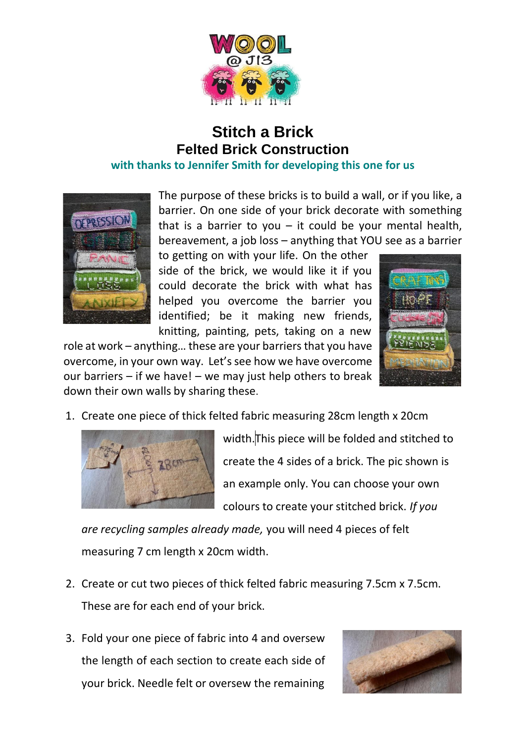

## **Stitch a Brick Felted Brick Construction with thanks to Jennifer Smith for developing this one for us**



The purpose of these bricks is to build a wall, or if you like, a barrier. On one side of your brick decorate with something that is a barrier to you  $-$  it could be your mental health, bereavement, a job loss – anything that YOU see as a barrier

to getting on with your life. On the other side of the brick, we would like it if you could decorate the brick with what has helped you overcome the barrier you identified; be it making new friends, knitting, painting, pets, taking on a new

role at work – anything… these are your barriers that you have overcome, in your own way. Let's see how we have overcome our barriers  $-$  if we have!  $-$  we may just help others to break down their own walls by sharing these.



1. Create one piece of thick felted fabric measuring 28cm length x 20cm



width.This piece will be folded and stitched to create the 4 sides of a brick. The pic shown is an example only. You can choose your own colours to create your stitched brick. *If you*

*are recycling samples already made,* you will need 4 pieces of felt measuring 7 cm length x 20cm width.

- 2. Create or cut two pieces of thick felted fabric measuring 7.5cm x 7.5cm. These are for each end of your brick.
- 3. Fold your one piece of fabric into 4 and oversew the length of each section to create each side of your brick. Needle felt or oversew the remaining